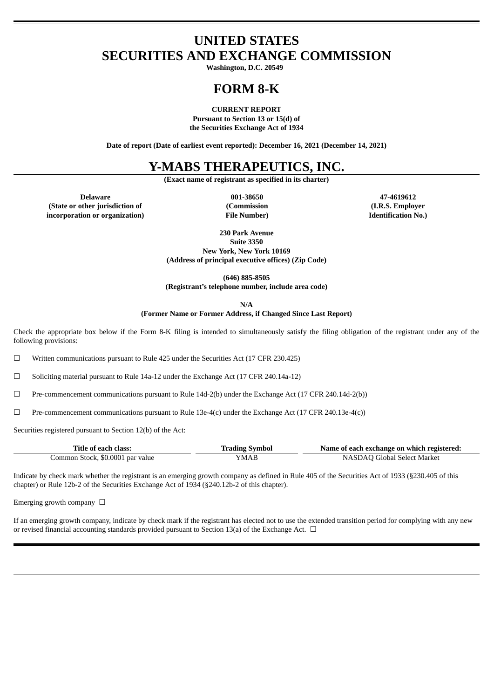## **UNITED STATES SECURITIES AND EXCHANGE COMMISSION**

**Washington, D.C. 20549**

# **FORM 8-K**

**CURRENT REPORT**

**Pursuant to Section 13 or 15(d) of the Securities Exchange Act of 1934**

**Date of report (Date of earliest event reported): December 16, 2021 (December 14, 2021)**

## **Y-MABS THERAPEUTICS, INC.**

**(Exact name of registrant as specified in its charter)**

**Delaware 001-38650 47-4619612 (State or other jurisdiction of incorporation or organization)**

**(Commission File Number)**

**(I.R.S. Employer Identification No.)**

**230 Park Avenue Suite 3350 New York, New York 10169 (Address of principal executive offices) (Zip Code)**

**(646) 885-8505 (Registrant's telephone number, include area code)**

**N/A**

**(Former Name or Former Address, if Changed Since Last Report)**

Check the appropriate box below if the Form 8-K filing is intended to simultaneously satisfy the filing obligation of the registrant under any of the following provisions:

☐ Written communications pursuant to Rule 425 under the Securities Act (17 CFR 230.425)

☐ Soliciting material pursuant to Rule 14a-12 under the Exchange Act (17 CFR 240.14a-12)

☐ Pre-commencement communications pursuant to Rule 14d-2(b) under the Exchange Act (17 CFR 240.14d-2(b))

☐ Pre-commencement communications pursuant to Rule 13e-4(c) under the Exchange Act (17 CFR 240.13e-4(c))

Securities registered pursuant to Section 12(b) of the Act:

| Title of each class:             | <b>Trading Symbol</b> | Name of each exchange on which registered: |
|----------------------------------|-----------------------|--------------------------------------------|
| Common Stock, \$0.0001 par value | YMAB                  | NASDAQ Global Select Market                |

Indicate by check mark whether the registrant is an emerging growth company as defined in Rule 405 of the Securities Act of 1933 (§230.405 of this chapter) or Rule 12b-2 of the Securities Exchange Act of 1934 (§240.12b-2 of this chapter).

Emerging growth company  $\Box$ 

If an emerging growth company, indicate by check mark if the registrant has elected not to use the extended transition period for complying with any new or revised financial accounting standards provided pursuant to Section 13(a) of the Exchange Act.  $\Box$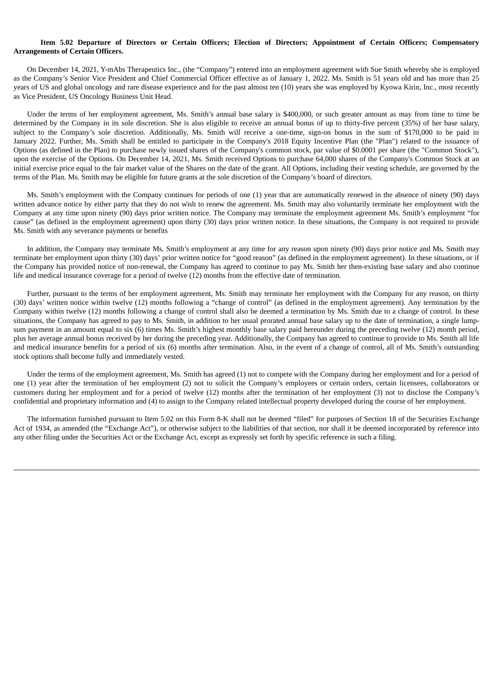#### Item 5.02 Departure of Directors or Certain Officers: Election of Directors: Appointment of Certain Officers: Compensatory **Arrangements of Certain Officers.**

On December 14, 2021, Y-mAbs Therapeutics Inc., (the "Company") entered into an employment agreement with Sue Smith whereby she is employed as the Company's Senior Vice President and Chief Commercial Officer effective as of January 1, 2022. Ms. Smith is 51 years old and has more than 25 years of US and global oncology and rare disease experience and for the past almost ten (10) years she was employed by Kyowa Kirin, Inc., most recently as Vice President, US Oncology Business Unit Head.

Under the terms of her employment agreement, Ms. Smith's annual base salary is \$400,000, or such greater amount as may from time to time be determined by the Company in its sole discretion. She is also eligible to receive an annual bonus of up to thirty-five percent (35%) of her base salary, subject to the Company's sole discretion. Additionally, Ms. Smith will receive a one-time, sign-on bonus in the sum of \$170,000 to be paid in January 2022. Further, Ms. Smith shall be entitled to participate in the Company's 2018 Equity Incentive Plan (the "Plan") related to the issuance of Options (as defined in the Plan) to purchase newly issued shares of the Company's common stock, par value of \$0.0001 per share (the "Common Stock"), upon the exercise of the Options. On December 14, 2021, Ms. Smith received Options to purchase 64,000 shares of the Company's Common Stock at an initial exercise price equal to the fair market value of the Shares on the date of the grant. All Options, including their vesting schedule, are governed by the terms of the Plan. Ms. Smith may be eligible for future grants at the sole discretion of the Company's board of directors.

Ms. Smith's employment with the Company continues for periods of one (1) year that are automatically renewed in the absence of ninety (90) days written advance notice by either party that they do not wish to renew the agreement. Ms. Smith may also voluntarily terminate her employment with the Company at any time upon ninety (90) days prior written notice. The Company may terminate the employment agreement Ms. Smith's employment "for cause" (as defined in the employment agreement) upon thirty (30) days prior written notice. In these situations, the Company is not required to provide Ms. Smith with any severance payments or benefits

In addition, the Company may terminate Ms. Smith's employment at any time for any reason upon ninety (90) days prior notice and Ms. Smith may terminate her employment upon thirty (30) days' prior written notice for "good reason" (as defined in the employment agreement). In these situations, or if the Company has provided notice of non-renewal, the Company has agreed to continue to pay Ms. Smith her then-existing base salary and also continue life and medical insurance coverage for a period of twelve (12) months from the effective date of termination.

Further, pursuant to the terms of her employment agreement, Ms. Smith may terminate her employment with the Company for any reason, on thirty (30) days' written notice within twelve (12) months following a "change of control" (as defined in the employment agreement). Any termination by the Company within twelve (12) months following a change of control shall also be deemed a termination by Ms. Smith due to a change of control. In these situations, the Company has agreed to pay to Ms. Smith, in addition to her usual prorated annual base salary up to the date of termination, a single lumpsum payment in an amount equal to six (6) times Ms. Smith's highest monthly base salary paid hereunder during the preceding twelve (12) month period, plus her average annual bonus received by her during the preceding year. Additionally, the Company has agreed to continue to provide to Ms. Smith all life and medical insurance benefits for a period of six (6) months after termination. Also, in the event of a change of control, all of Ms. Smith's outstanding stock options shall become fully and immediately vested.

Under the terms of the employment agreement, Ms. Smith has agreed (1) not to compete with the Company during her employment and for a period of one (1) year after the termination of her employment (2) not to solicit the Company's employees or certain orders, certain licensees, collaborators or customers during her employment and for a period of twelve (12) months after the termination of her employment (3) not to disclose the Company's confidential and proprietary information and (4) to assign to the Company related intellectual property developed during the course of her employment.

The information furnished pursuant to Item 5.02 on this Form 8-K shall not be deemed "filed" for purposes of Section 18 of the Securities Exchange Act of 1934, as amended (the "Exchange Act"), or otherwise subject to the liabilities of that section, nor shall it be deemed incorporated by reference into any other filing under the Securities Act or the Exchange Act, except as expressly set forth by specific reference in such a filing.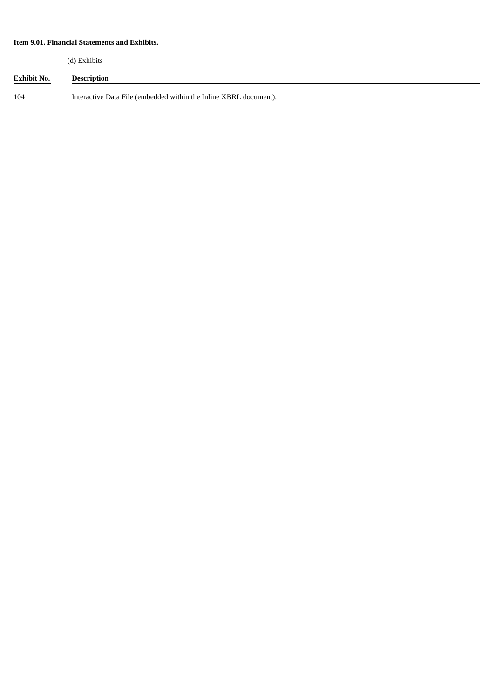### **Item 9.01. Financial Statements and Exhibits.**

(d) Exhibits

| <b>Exhibit No.</b><br>the contract of the contract of the contract of | <b>Description</b>                                                |
|-----------------------------------------------------------------------|-------------------------------------------------------------------|
| 104                                                                   | Interactive Data File (embedded within the Inline XBRL document). |